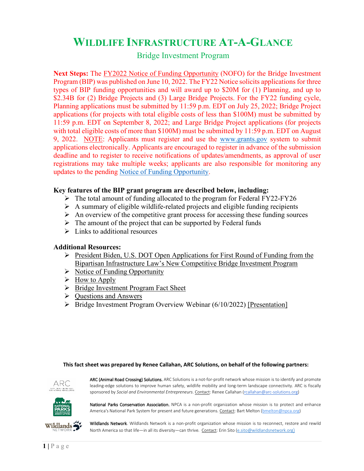# **WILDLIFE INFRASTRUCTURE AT-A-GLANCE**

## Bridge Investment Program

**Next Steps:** The [FY2022 Notice of Funding Opportunity](https://www.grants.gov/view-opportunity.html?dpp=1&oppId=341050) (NOFO) for the Bridge Investment Program (BIP) was published on June 10, 2022. The FY22 Notice solicits applications for three types of BIP funding opportunities and will award up to \$20M for (1) Planning, and up to \$2.34B for (2) Bridge Projects and (3) Large Bridge Projects. For the FY22 funding cycle, Planning applications must be submitted by 11:59 p.m. EDT on July 25, 2022; Bridge Project applications (for projects with total eligible costs of less than \$100M) must be submitted by 11:59 p.m. EDT on September 8, 2022; and Large Bridge Project applications (for projects with total eligible costs of more than \$100M) must be submitted by 11:59 p.m. EDT on August 9, 2022. NOTE: Applicants must register and use the [www.grants.gov](http://www.grants.gov/) system to submit applications electronically. Applicants are encouraged to register in advance of the submission deadline and to register to receive notifications of updates/amendments, as approval of user registrations may take multiple weeks; applicants are also responsible for monitoring any updates to the pending [Notice of Funding Opportunity.](https://www.grants.gov/view-opportunity.html?dpp=1&oppId=341050)

## **Key features of the BIP grant program are described below, including:**

- $\triangleright$  The total amount of funding allocated to the program for Federal FY22-FY26
- $\triangleright$  A summary of eligible wildlife-related projects and eligible funding recipients
- $\triangleright$  An overview of the competitive grant process for accessing these funding sources
- $\triangleright$  The amount of the project that can be supported by Federal funds
- $\triangleright$  Links to additional resources

## **Additional Resources:**

- President Biden, U.S. DOT Open Applications for First Round of Funding from the [Bipartisan Infrastructure Law's New Competitive Bridge Investment Program](https://highways.dot.gov/newsroom/president-biden-us-department-transportation-open-applications-first-round-funding)
- $\triangleright$  [Notice of Funding Opportunity](https://www.grants.gov/view-opportunity.html?dpp=1&oppId=341050)
- $\triangleright$  [How to Apply](https://apply07.grants.gov/apply/opportunities/instructions/PKG00274903-instructions.pdf)
- $\triangleright$  [Bridge Investment Program Fact Sheet](https://www.fhwa.dot.gov/bipartisan-infrastructure-law/bip_factsheet.cfm)
- $\triangleright$  Ouestions and Answers
- $\triangleright$  Bridge Investment Program Overview Webinar (6/10/2022) [\[Presentation\]](https://www.fhwa.dot.gov/bridge/bip/BIP_Kickoff_Slides_2022-06-10_for_release_508.pdf)

#### **This fact sheet was prepared by Renee Callahan, ARC Solutions, on behalf of the following partners:**



ARC (Animal Road Crossing) Solutions. ARC Solutions is a not-for-profit network whose mission is to identify and promote leading-edge solutions to improve human safety, wildlife mobility and long-term landscape connectivity. ARC is fiscally sponsored by *Social and Environmental Entrepreneurs*. Contact: Renee Callahan [\(rcallahan@arc-solutions.org\)](mailto:rcallahan@arc-solutions.org)



National Parks Conservation Association. NPCA is a non-profit organization whose mission is to protect and enhance America's National Park System for present and future generations. Contact: Bart Melton [\(bmelton@npca.org\)](mailto:bmelton@npca.org)



Wildlands Network. Wildlands Network is a non-profit organization whose mission is to reconnect, restore and rewild North America so that life—in all its diversity—can thrive*.* Contact: Erin Sito [\(e.sito@wildlandsnetwork.org](mailto:e.sito@wildlandsnetwork.org))